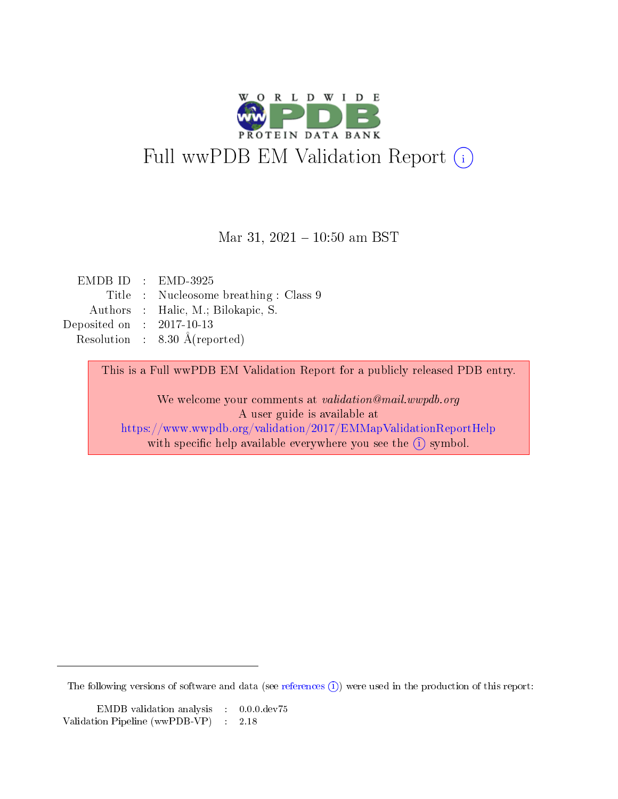

#### Mar 31,  $2021 - 10:50$  am BST

|                             | $EMDBID : EMD-3925$                      |
|-----------------------------|------------------------------------------|
|                             | Title : Nucleosome breathing : Class 9   |
|                             | Authors : Halic, M.; Bilokapic, S.       |
| Deposited on : $2017-10-13$ |                                          |
|                             | Resolution : $8.30 \text{ Å}$ (reported) |
|                             |                                          |

This is a Full wwPDB EM Validation Report for a publicly released PDB entry.

We welcome your comments at validation@mail.wwpdb.org A user guide is available at

<https://www.wwpdb.org/validation/2017/EMMapValidationReportHelp> with specific help available everywhere you see the  $(i)$  symbol.

The following versions of software and data (see [references](https://www.wwpdb.org/validation/2017/EMMapValidationReportHelp)  $(1)$ ) were used in the production of this report:

EMDB validation analysis : 0.0.0.dev75 Validation Pipeline (wwPDB-VP) : 2.18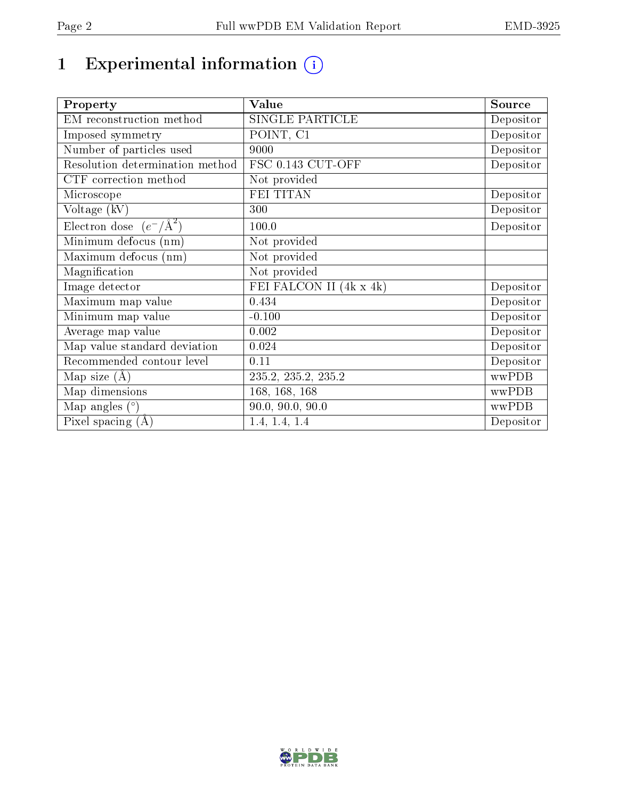# 1 Experimental information  $(i)$

| Property                           | <b>Value</b>            | Source    |
|------------------------------------|-------------------------|-----------|
| EM reconstruction method           | <b>SINGLE PARTICLE</b>  | Depositor |
| Imposed symmetry                   | POINT, C1               | Depositor |
| Number of particles used           | 9000                    | Depositor |
| Resolution determination method    | FSC 0.143 CUT-OFF       | Depositor |
| CTF correction method              | Not provided            |           |
| Microscope                         | <b>FEI TITAN</b>        | Depositor |
| Voltage (kV)                       | 300                     | Depositor |
| Electron dose $(e^-/\text{\AA}^2)$ | 100.0                   | Depositor |
| Minimum defocus (nm)               | Not provided            |           |
| Maximum defocus (nm)               | Not provided            |           |
| Magnification                      | Not provided            |           |
| Image detector                     | FEI FALCON II (4k x 4k) | Depositor |
| Maximum map value                  | 0.434                   | Depositor |
| Minimum map value                  | $-0.100$                | Depositor |
| Average map value                  | 0.002                   | Depositor |
| Map value standard deviation       | 0.024                   | Depositor |
| Recommended contour level          | 0.11                    | Depositor |
| Map size $(A)$                     | 235.2, 235.2, 235.2     | wwPDB     |
| Map dimensions                     | 168, 168, 168           | wwPDB     |
| Map angles $(°)$                   | 90.0, 90.0, 90.0        | wwPDB     |
| Pixel spacing $(A)$                | 1.4, 1.4, 1.4           | Depositor |

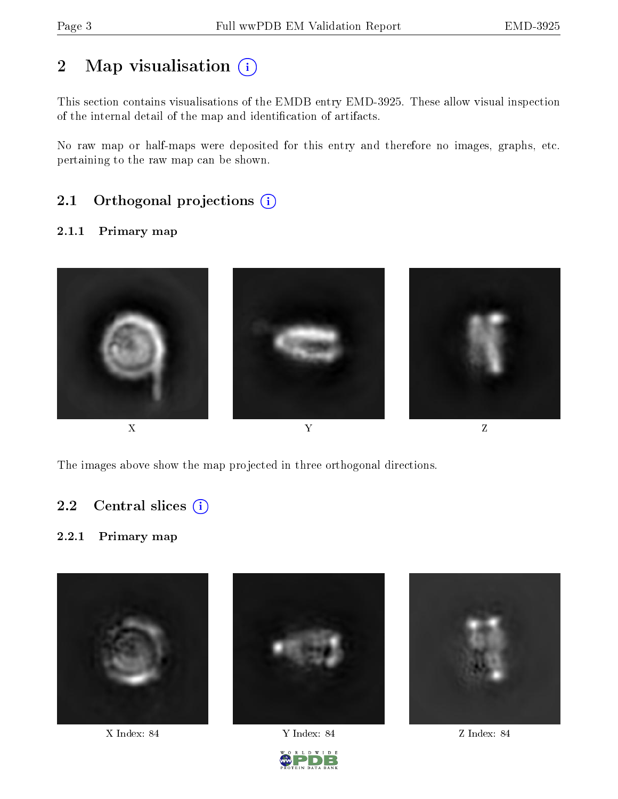# 2 Map visualisation  $(i)$

This section contains visualisations of the EMDB entry EMD-3925. These allow visual inspection of the internal detail of the map and identification of artifacts.

No raw map or half-maps were deposited for this entry and therefore no images, graphs, etc. pertaining to the raw map can be shown.

### 2.1 [O](https://www.wwpdb.org/validation/2017/EMMapValidationReportHelp#orthogonal_projections)rthogonal projections (i)

#### 2.1.1 Primary map



The images above show the map projected in three orthogonal directions.

### 2.2 Central slices  $(i)$

#### 2.2.1 Primary map



X Index: 84 Y Index: 84 Z Index: 84



D W I D E

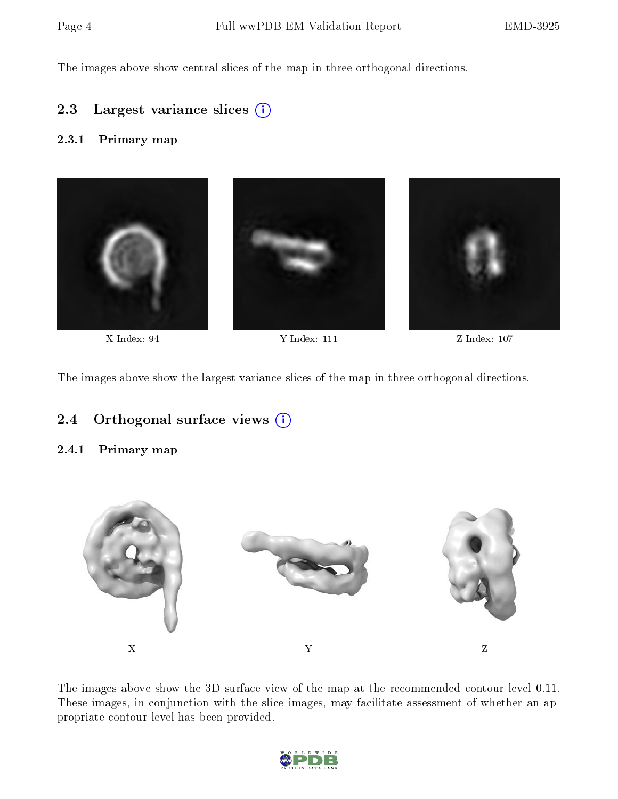The images above show central slices of the map in three orthogonal directions.

#### 2.3 Largest variance slices (i)

#### 2.3.1 Primary map



X Index: 94 Y Index: 111 Z Index: 107

The images above show the largest variance slices of the map in three orthogonal directions.

#### 2.4 [O](https://www.wwpdb.org/validation/2017/EMMapValidationReportHelp#orthogonal_views)rthogonal surface views (i)

#### 2.4.1 Primary map



The images above show the 3D surface view of the map at the recommended contour level 0.11. These images, in conjunction with the slice images, may facilitate assessment of whether an appropriate contour level has been provided.

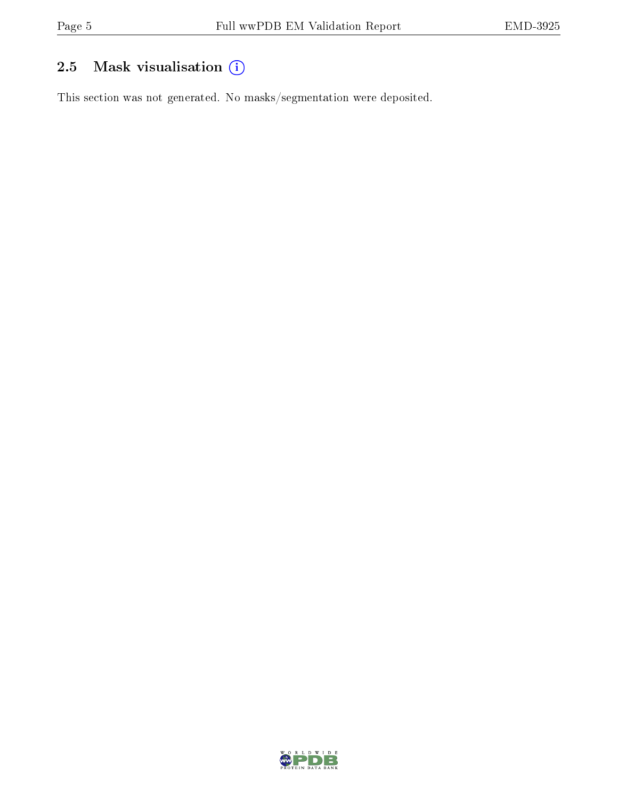## 2.5 Mask visualisation (i)

This section was not generated. No masks/segmentation were deposited.

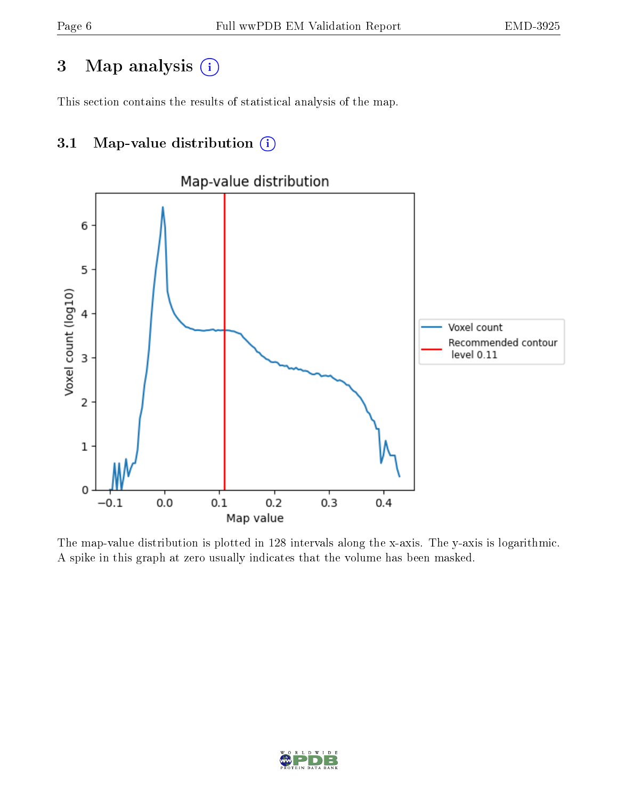## 3 Map analysis (i)

This section contains the results of statistical analysis of the map.

### 3.1 Map-value distribution  $(i)$



The map-value distribution is plotted in 128 intervals along the x-axis. The y-axis is logarithmic. A spike in this graph at zero usually indicates that the volume has been masked.

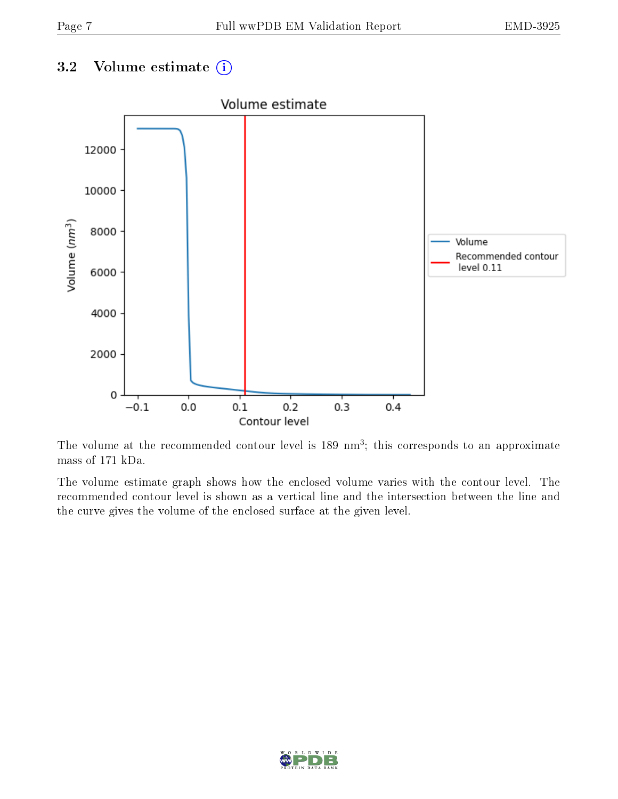### 3.2 Volume estimate  $\overline{()}$



The volume at the recommended contour level is 189 nm<sup>3</sup>; this corresponds to an approximate mass of 171 kDa.

The volume estimate graph shows how the enclosed volume varies with the contour level. The recommended contour level is shown as a vertical line and the intersection between the line and the curve gives the volume of the enclosed surface at the given level.

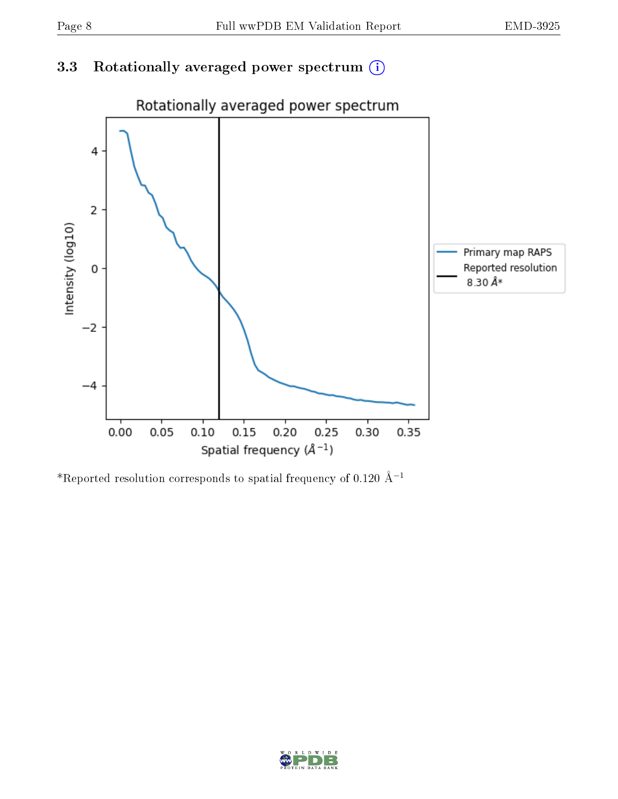### 3.3 Rotationally averaged power spectrum (i)



\*Reported resolution corresponds to spatial frequency of 0.120 Å<sup>-1</sup>